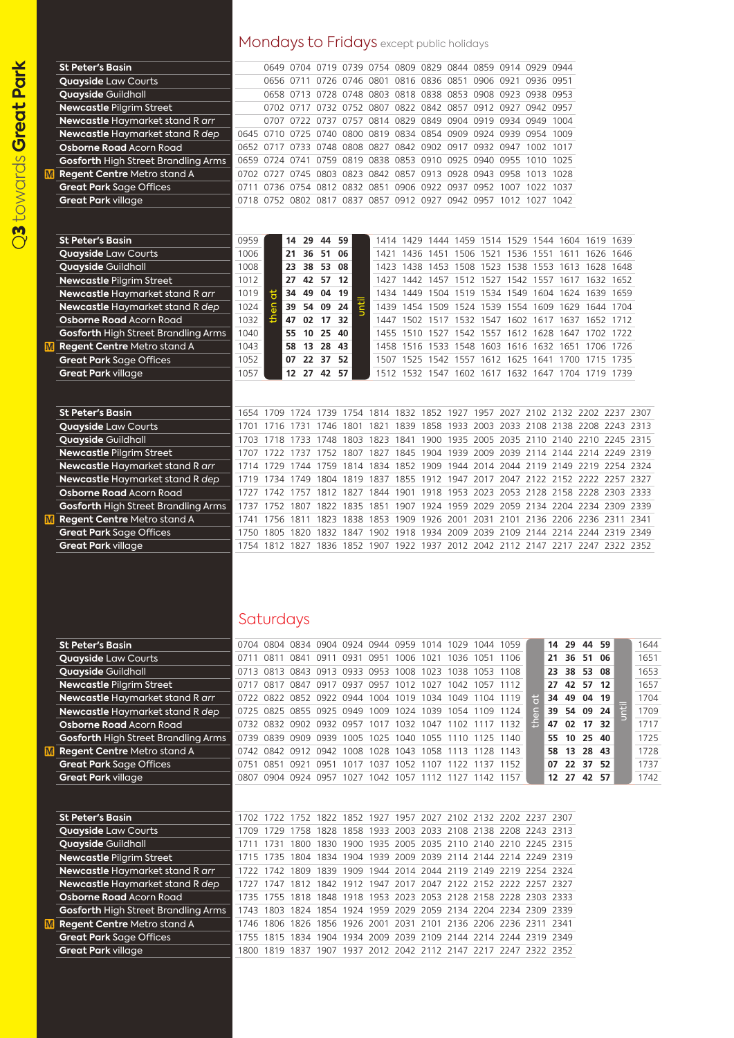## Mondays to Fridays except public holidays

|    | <b>St Peter's Basin</b>                                                          |              |      |           |                            | 0649 0704 0719 0739 0754 0809 0829 0844 0859 0914 0929 0944                                                                          |                |                                                                                                        |           |      |      |      |             |          |  |      |
|----|----------------------------------------------------------------------------------|--------------|------|-----------|----------------------------|--------------------------------------------------------------------------------------------------------------------------------------|----------------|--------------------------------------------------------------------------------------------------------|-----------|------|------|------|-------------|----------|--|------|
|    | <b>Quayside Law Courts</b>                                                       |              |      | 0656 0711 | 0726                       |                                                                                                                                      | 0746 0801 0816 |                                                                                                        | 0836 0851 | 0906 | 0921 |      | 0936 0951   |          |  |      |
|    | <b>Quayside Guildhall</b>                                                        |              |      |           |                            | 0658 0713 0728 0748 0803 0818 0838 0853 0908 0923 0938 0953                                                                          |                |                                                                                                        |           |      |      |      |             |          |  |      |
|    | <b>Newcastle Pilgrim Street</b>                                                  |              |      |           |                            | 0702 0717 0732 0752 0807 0822 0842 0857 0912 0927 0942 0957                                                                          |                |                                                                                                        |           |      |      |      |             |          |  |      |
|    | Newcastle Haymarket stand R arr                                                  |              |      |           |                            | 0707 0722 0737 0757 0814 0829 0849 0904 0919 0934 0949 1004                                                                          |                |                                                                                                        |           |      |      |      |             |          |  |      |
|    | Newcastle Haymarket stand R dep                                                  |              |      |           |                            | 0645 0710 0725 0740 0800 0819 0834 0854 0909 0924 0939 0954 1009                                                                     |                |                                                                                                        |           |      |      |      |             |          |  |      |
|    | <b>Osborne Road Acorn Road</b>                                                   |              |      |           | 0652 0717 0733 0748        |                                                                                                                                      |                | 0808 0827 0842 0902 0917 0932 0947 1002 1017                                                           |           |      |      |      |             |          |  |      |
|    | <b>Gosforth High Street Brandling Arms</b>                                       | 0659         |      |           | 0724 0741 0759             |                                                                                                                                      |                | 0819 0838 0853 0910 0925 0940 0955 1010 1025                                                           |           |      |      |      |             |          |  |      |
| M. | Regent Centre Metro stand A                                                      |              |      |           |                            | 0702 0727 0745 0803 0823 0842 0857 0913 0928 0943 0958 1013 1028                                                                     |                |                                                                                                        |           |      |      |      |             |          |  |      |
|    | <b>Great Park Sage Offices</b>                                                   |              |      |           |                            | 0711 0736 0754 0812 0832 0851 0906 0922 0937 0952 1007 1022 1037                                                                     |                |                                                                                                        |           |      |      |      |             |          |  |      |
|    | <b>Great Park village</b>                                                        |              |      |           |                            | 0718 0752 0802 0817 0837 0857 0912 0927 0942 0957 1012 1027 1042                                                                     |                |                                                                                                        |           |      |      |      |             |          |  |      |
|    |                                                                                  |              |      |           |                            |                                                                                                                                      |                |                                                                                                        |           |      |      |      |             |          |  |      |
|    |                                                                                  |              |      |           |                            |                                                                                                                                      |                |                                                                                                        |           |      |      |      |             |          |  |      |
|    | <b>St Peter's Basin</b>                                                          | 0959         |      | 14        | 29<br>44                   | 59                                                                                                                                   |                | 1414 1429 1444 1459 1514 1529 1544 1604 1619 1639                                                      |           |      |      |      |             |          |  |      |
|    | <b>Quayside Law Courts</b>                                                       | 1006         |      |           | 21 36 51 06                |                                                                                                                                      |                | 1421 1436 1451 1506 1521 1536 1551 1611 1626 1646                                                      |           |      |      |      |             |          |  |      |
|    | <b>Quayside Guildhall</b>                                                        | 1008         |      |           | 23 38 53 08                |                                                                                                                                      |                | 1423 1438 1453 1508 1523 1538 1553 1613 1628 1648                                                      |           |      |      |      |             |          |  |      |
|    | <b>Newcastle Pilgrim Street</b>                                                  | 1012         |      |           | 27 42 57 12                |                                                                                                                                      |                | 1427 1442 1457 1512 1527 1542 1557 1617 1632 1652                                                      |           |      |      |      |             |          |  |      |
|    | Newcastle Haymarket stand R arr                                                  | 1019         | đ    | 34        | 49<br>04                   | 19                                                                                                                                   |                | 1434 1449 1504 1519 1534 1549 1604 1624 1639 1659                                                      |           |      |      |      |             |          |  |      |
|    | Newcastle Haymarket stand R dep                                                  | 1024         | then |           | 39 54 09                   | 24                                                                                                                                   |                | 1439 1454 1509 1524 1539 1554 1609 1629 1644 1704                                                      |           |      |      |      |             |          |  |      |
|    | <b>Osborne Road Acorn Road</b>                                                   | 1032         |      |           | 47 02 17 32<br>55 10 25 40 |                                                                                                                                      |                | 1447 1502 1517 1532 1547 1602 1617 1637 1652 1712                                                      |           |      |      |      |             |          |  |      |
| M  | <b>Gosforth High Street Brandling Arms</b><br><b>Regent Centre Metro stand A</b> | 1040<br>1043 |      |           | 58 13 28 43                |                                                                                                                                      |                | 1455 1510 1527 1542 1557 1612 1628 1647 1702 1722<br>1458 1516 1533 1548 1603 1616 1632 1651 1706 1726 |           |      |      |      |             |          |  |      |
|    | <b>Great Park Sage Offices</b>                                                   | 1052         |      |           | 07 22 37 52                |                                                                                                                                      |                | 1507 1525 1542 1557 1612 1625 1641 1700 1715 1735                                                      |           |      |      |      |             |          |  |      |
|    | <b>Great Park village</b>                                                        | 1057         |      |           | 12 27 42 57                |                                                                                                                                      |                | 1512 1532 1547 1602 1617 1632 1647 1704 1719 1739                                                      |           |      |      |      |             |          |  |      |
|    |                                                                                  |              |      |           |                            |                                                                                                                                      |                |                                                                                                        |           |      |      |      |             |          |  |      |
|    |                                                                                  |              |      |           |                            |                                                                                                                                      |                |                                                                                                        |           |      |      |      |             |          |  |      |
|    | <b>St Peter's Basin</b>                                                          |              |      |           |                            | 1654 1709 1724 1739 1754 1814 1832 1852 1927 1957 2027 2102 2132 2202 2237 2307                                                      |                |                                                                                                        |           |      |      |      |             |          |  |      |
|    | <b>Quayside Law Courts</b>                                                       | 1701         |      |           |                            | 1716 1731 1746 1801 1821 1839 1858 1933 2003 2033 2108 2138 2208 2243 2313                                                           |                |                                                                                                        |           |      |      |      |             |          |  |      |
|    | Quayside Guildhall                                                               |              |      |           |                            | 1703 1718 1733 1748 1803 1823 1841 1900 1935 2005 2035 2110 2140 2210 2245 2315                                                      |                |                                                                                                        |           |      |      |      |             |          |  |      |
|    | <b>Newcastle Pilgrim Street</b>                                                  |              |      |           |                            | 1707 1722 1737 1752 1807 1827 1845 1904 1939 2009 2039 2114 2144 2214 2249 2319                                                      |                |                                                                                                        |           |      |      |      |             |          |  |      |
|    | Newcastle Haymarket stand R arr                                                  | 1714         | 1729 |           | 1744 1759                  |                                                                                                                                      |                | 1814 1834 1852 1909 1944 2014 2044 2119 2149 2219 2254 2324                                            |           |      |      |      |             |          |  |      |
|    | Newcastle Haymarket stand R dep                                                  | 1719         |      |           |                            | 1734 1749 1804 1819 1837 1855 1912 1947 2017 2047 2122 2152 2222 2257 2327                                                           |                |                                                                                                        |           |      |      |      |             |          |  |      |
|    | Osborne Road Acorn Road                                                          | 1727         |      |           |                            | 1742 1757 1812 1827 1844 1901 1918 1953 2023 2053 2128 2158 2228 2303 2333                                                           |                |                                                                                                        |           |      |      |      |             |          |  |      |
|    | <b>Gosforth High Street Brandling Arms</b>                                       | 1737         |      |           |                            | 1752 1807 1822 1835 1851 1907 1924 1959 2029 2059 2134 2204 2234 2309 2339                                                           |                |                                                                                                        |           |      |      |      |             |          |  |      |
| M  | Regent Centre Metro stand A                                                      | 1741         |      |           |                            | 1756 1811 1823 1838 1853 1909 1926 2001 2031 2101 2136 2206 2236 2311 2341                                                           |                |                                                                                                        |           |      |      |      |             |          |  |      |
|    | <b>Great Park Sage Offices</b>                                                   | 1750         |      |           |                            | 1805 1820 1832 1847 1902 1918 1934 2009 2039 2109 2144 2214 2244 2319 2349                                                           |                |                                                                                                        |           |      |      |      |             |          |  |      |
|    | <b>Great Park village</b>                                                        | 1754         |      |           |                            | 1812 1827 1836 1852 1907 1922 1937 2012 2042 2112 2147 2217 2247 2322 2352                                                           |                |                                                                                                        |           |      |      |      |             |          |  |      |
|    |                                                                                  |              |      |           |                            |                                                                                                                                      |                |                                                                                                        |           |      |      |      |             |          |  |      |
|    |                                                                                  |              |      |           |                            |                                                                                                                                      |                |                                                                                                        |           |      |      |      |             |          |  |      |
|    |                                                                                  |              |      |           |                            |                                                                                                                                      |                |                                                                                                        |           |      |      |      |             |          |  |      |
|    |                                                                                  |              |      |           |                            |                                                                                                                                      |                |                                                                                                        |           |      |      |      |             |          |  |      |
|    |                                                                                  |              |      |           |                            |                                                                                                                                      |                |                                                                                                        |           |      |      |      |             |          |  |      |
|    |                                                                                  |              |      |           |                            |                                                                                                                                      |                |                                                                                                        |           |      |      |      |             |          |  |      |
|    |                                                                                  |              |      | Saturdays |                            |                                                                                                                                      |                |                                                                                                        |           |      |      |      |             |          |  |      |
|    | <b>St Peter's Basin</b>                                                          |              |      |           |                            | 0704 0804 0834 0904 0924 0944 0959 1014 1029 1044 1059                                                                               |                |                                                                                                        |           |      |      |      | 14 29 44 59 |          |  | 1644 |
|    | <b>Quayside Law Courts</b>                                                       |              |      |           |                            | 0711 0811 0841 0911 0931 0951 1006 1021 1036 1051 1106                                                                               |                |                                                                                                        |           |      |      |      | 21 36 51 06 |          |  | 1651 |
|    | <b>Quayside Guildhall</b>                                                        |              |      |           |                            | 0713 0813 0843 0913 0933 0953 1008 1023 1038 1053 1108                                                                               |                |                                                                                                        |           |      |      |      | 23 38 53 08 |          |  | 1653 |
|    | <b>Newcastle Pilgrim Street</b>                                                  |              |      |           |                            | 0717 0817 0847 0917 0937 0957 1012 1027 1042 1057 1112                                                                               |                |                                                                                                        |           |      |      |      | 27 42 57 12 |          |  | 1657 |
|    | Newcastle Haymarket stand R arr                                                  |              |      |           |                            | 0722 0822 0852 0922 0944 1004 1019 1034 1049 1104 1119                                                                               |                |                                                                                                        |           |      |      | ã    | 34 49 04 19 |          |  | 1704 |
|    | Newcastle Haymarket stand R dep                                                  |              |      |           |                            | 0725 0825 0855 0925 0949 1009 1024 1039 1054 1109 1124                                                                               |                |                                                                                                        |           |      |      |      | 39 54 09 24 |          |  | 1709 |
|    | <b>Osborne Road Acorn Road</b>                                                   |              |      |           |                            | 0732 0832 0902 0932 0957 1017 1032 1047 1102 1117 1132                                                                               |                |                                                                                                        |           |      |      | then | 47 02 17 32 |          |  | 1717 |
|    | <b>Gosforth High Street Brandling Arms</b>                                       |              |      |           |                            | 0739 0839 0909 0939 1005 1025 1040 1055 1110 1125 1140                                                                               |                |                                                                                                        |           |      |      |      | 55          | 10 25 40 |  | 1725 |
|    | <b>M</b> Regent Centre Metro stand A                                             |              |      |           |                            | 0742 0842 0912 0942 1008 1028 1043 1058 1113 1128 1143                                                                               |                |                                                                                                        |           |      |      |      | 58 13 28 43 |          |  | 1728 |
|    | <b>Great Park Sage Offices</b>                                                   |              |      |           |                            | 0751 0851 0921 0951 1017 1037 1052 1107 1122 1137 1152                                                                               |                |                                                                                                        |           |      |      |      | 07 22 37 52 |          |  | 1737 |
|    | <b>Great Park village</b>                                                        |              |      |           |                            | 0807 0904 0924 0957 1027 1042 1057 1112 1127 1142 1157                                                                               |                |                                                                                                        |           |      |      |      | 12 27 42 57 |          |  | 1742 |
|    |                                                                                  |              |      |           |                            |                                                                                                                                      |                |                                                                                                        |           |      |      |      |             |          |  |      |
|    |                                                                                  |              |      |           |                            |                                                                                                                                      |                |                                                                                                        |           |      |      |      |             |          |  |      |
|    | <b>St Peter's Basin</b>                                                          |              |      |           |                            | 1702 1722 1752 1822 1852 1927 1957 2027 2102 2132 2202 2237 2307                                                                     |                |                                                                                                        |           |      |      |      |             |          |  |      |
|    | <b>Quayside Law Courts</b>                                                       |              |      |           |                            | 1709 1729 1758 1828 1858 1933 2003 2033 2108 2138 2208 2243 2313                                                                     |                |                                                                                                        |           |      |      |      |             |          |  |      |
|    | Quayside Guildhall                                                               |              |      |           |                            | 1711 1731 1800 1830 1900 1935 2005 2035 2110 2140 2210 2245 2315                                                                     |                |                                                                                                        |           |      |      |      |             |          |  |      |
|    | Newcastle Pilgrim Street                                                         |              |      |           |                            | 1715 1735 1804 1834 1904 1939 2009 2039 2114 2144 2214 2249 2319                                                                     |                |                                                                                                        |           |      |      |      |             |          |  |      |
|    | Newcastle Haymarket stand R arr                                                  |              |      |           |                            | 1722 1742 1809 1839 1909 1944 2014 2044 2119 2149 2219 2254 2324                                                                     |                |                                                                                                        |           |      |      |      |             |          |  |      |
|    | Newcastle Haymarket stand R dep                                                  |              |      |           |                            | 1727 1747 1812 1842 1912 1947 2017 2047 2122 2152 2222 2257 2327                                                                     |                |                                                                                                        |           |      |      |      |             |          |  |      |
|    | <b>Osborne Road Acorn Road</b>                                                   |              |      |           |                            | 1735 1755 1818 1848 1918 1953 2023 2053 2128 2158 2228 2303 2333                                                                     |                |                                                                                                        |           |      |      |      |             |          |  |      |
|    | <b>Gosforth High Street Brandling Arms</b>                                       |              |      |           |                            | 1743 1803 1824 1854 1924 1959 2029 2059 2134 2204 2234 2309 2339<br>1746 1806 1826 1856 1926 2001 2031 2101 2136 2206 2236 2311 2341 |                |                                                                                                        |           |      |      |      |             |          |  |      |
|    | <b>M</b> Regent Centre Metro stand A                                             |              |      |           |                            | 1755 1815 1834 1904 1934 2009 2039 2109 2144 2214 2244 2319 2349                                                                     |                |                                                                                                        |           |      |      |      |             |          |  |      |
|    | <b>Great Park Sage Offices</b><br><b>Great Park village</b>                      |              |      |           |                            | 1800 1819 1837 1907 1937 2012 2042 2112 2147 2217 2247 2322 2352                                                                     |                |                                                                                                        |           |      |      |      |             |          |  |      |

 $\bigcirc$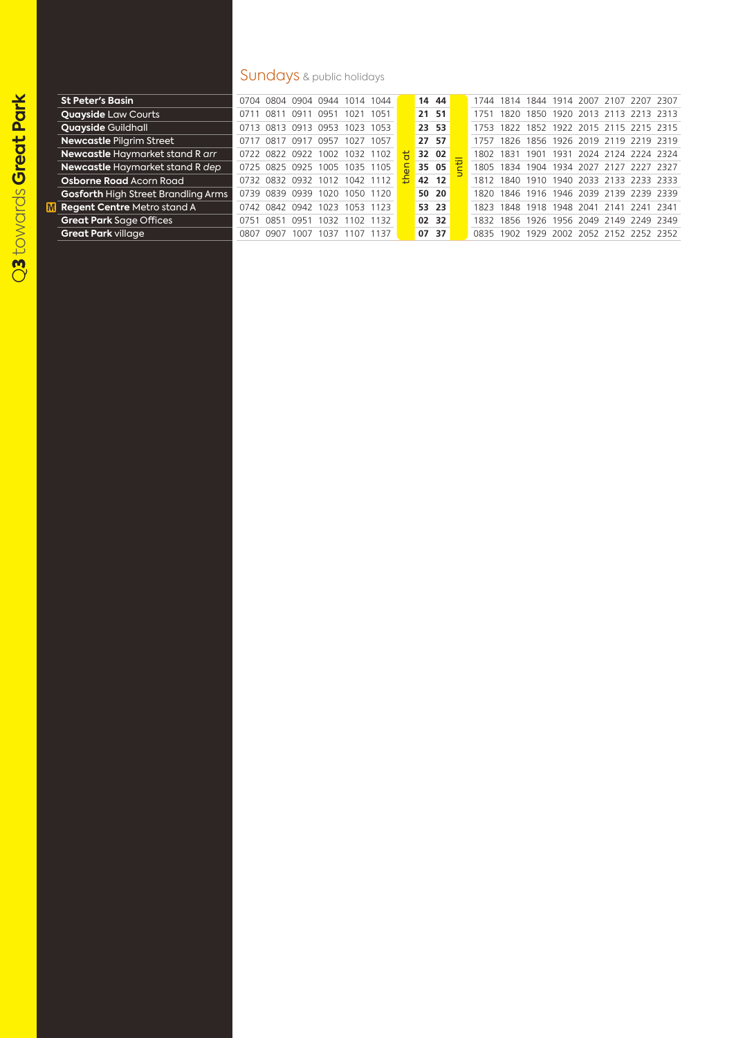$\overline{\mathbf{M}}$ 

## Sundays & public holidays

| <b>St Peter's Basin</b>                    |      |      |                | 0704 0804 0904 0944 1014 1044 |      |      |   | 14 44 |  | 1744 1814 |      |      |      | 1844 1914 2007 2107 |                               | 2207 2307 |  |
|--------------------------------------------|------|------|----------------|-------------------------------|------|------|---|-------|--|-----------|------|------|------|---------------------|-------------------------------|-----------|--|
| <b>Quayside Law Courts</b>                 |      | 081  | 091            | 0951                          | 1021 | 1051 |   | 21 51 |  | 1751      | 1820 |      |      |                     | 1850 1920 2013 2113 2213 2313 |           |  |
| <b>Quayside Guildhall</b>                  | 0713 |      | 0813 0913 0953 |                               | 1023 | 1053 |   | 23 53 |  | 1753      | 1822 | 1852 |      |                     | 1922 2015 2115 2215 2315      |           |  |
| <b>Newcastle Pilgrim Street</b>            |      | 0817 | -091           | 7 0957                        | 1027 | 1057 |   | 27 57 |  | 1757      | 1826 |      |      |                     | 1856 1926 2019 2119 2219 2319 |           |  |
| Newcastle Haymarket stand R arr            | 0722 | 0822 | 0922           | 002                           | 1032 | 1102 |   | 32 02 |  | 1802      | 1831 | 1901 | 1931 |                     | 2024 2124 2224 2324           |           |  |
| Newcastle Haymarket stand R dep            |      |      | 0725 0825 0925 | 1005                          | 1035 | 1105 |   | 35 05 |  | 1805      | 1834 |      |      | 1904 1934 2027 2127 |                               | 2227 2327 |  |
| <b>Osborne Road Acorn Road</b>             |      |      |                | 0732 0832 0932 1012           | 1042 |      | 춥 | 42 12 |  | 1812      | 1840 |      |      |                     | 1910 1940 2033 2133 2233 2333 |           |  |
| <b>Gosforth High Street Brandling Arms</b> | 0739 | 0839 | 0939           | 1020                          | 1050 | 1120 |   | 50 20 |  | 1820      | 1846 |      |      | 1916 1946 2039 2139 |                               | 2239 2339 |  |
| <b>Regent Centre Metro stand A</b>         | 0742 | 0842 | 0942           | 1023                          | 1053 |      |   | 53 23 |  | 1823      | 1848 |      |      | 1918 1948 2041 2141 |                               | 2241 2341 |  |
| <b>Great Park Sage Offices</b>             | 0751 | 0851 | 0951           | 1032                          | 1102 | 1132 |   | 02 32 |  | 1832      | 1856 |      |      | 1926 1956 2049 2149 |                               | 2249 2349 |  |
| <b>Great Park village</b>                  | 0807 | 0907 | 1007           | 037                           | 107  | 137  |   | 07 37 |  | 0835      | 1902 | 1929 | 2002 |                     | 2052 2152 2252 2352           |           |  |
|                                            |      |      |                |                               |      |      |   |       |  |           |      |      |      |                     |                               |           |  |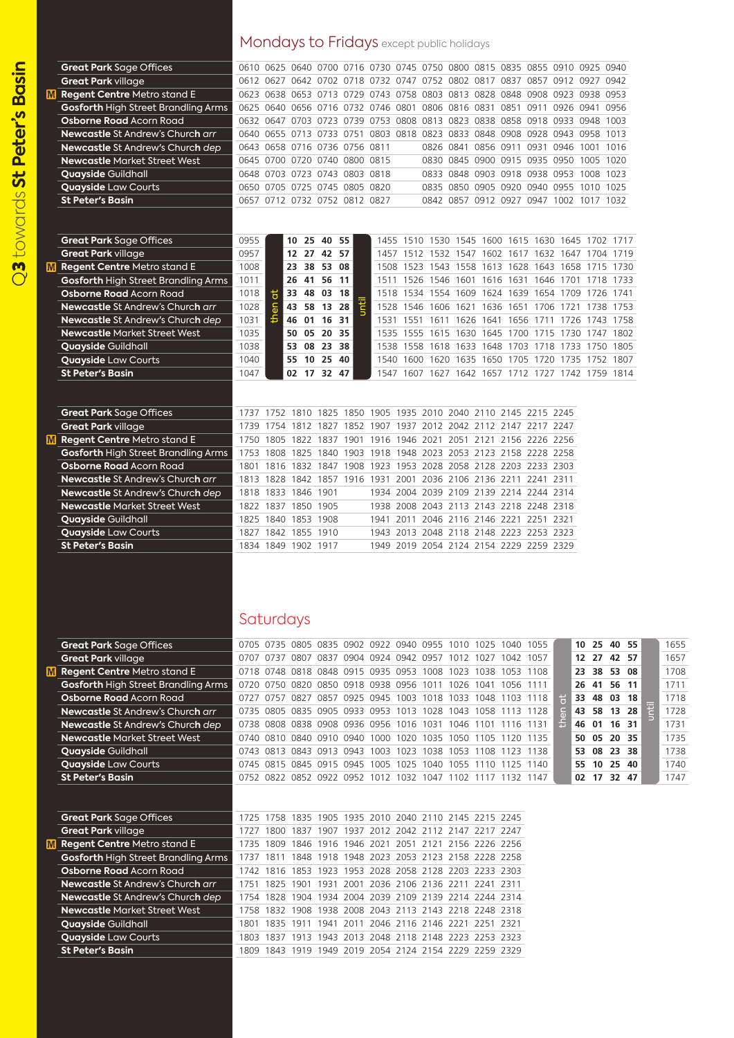$\bigcirc$ 

|                                            | Mondays to Fridays except public holidays |   |                                                                            |       |                                                        |           |      |  |           |                                              |                               |  |  |  |                                                   |
|--------------------------------------------|-------------------------------------------|---|----------------------------------------------------------------------------|-------|--------------------------------------------------------|-----------|------|--|-----------|----------------------------------------------|-------------------------------|--|--|--|---------------------------------------------------|
| <b>Great Park Sage Offices</b>             |                                           |   | 0610 0625 0640 0700 0716 0730 0745 0750 0800 0815 0835 0855 0910 0925 0940 |       |                                                        |           |      |  |           |                                              |                               |  |  |  |                                                   |
| <b>Great Park village</b>                  |                                           |   | 0612 0627 0642 0702 0718 0732 0747 0752 0802 0817 0837 0857 0912 0927 0942 |       |                                                        |           |      |  |           |                                              |                               |  |  |  |                                                   |
| <b>W</b> Regent Centre Metro stand E       |                                           |   | 0623 0638 0653 0713 0729 0743 0758 0803 0813 0828 0848 0908 0923 0938 0953 |       |                                                        |           |      |  |           |                                              |                               |  |  |  |                                                   |
| <b>Gosforth High Street Brandling Arms</b> |                                           |   | 0625 0640 0656 0716 0732 0746 0801 0806 0816 0831 0851 0911 0926 0941 0956 |       |                                                        |           |      |  |           |                                              |                               |  |  |  |                                                   |
| <b>Osborne Road Acorn Road</b>             |                                           |   | 0632 0647 0703 0723 0739 0753                                              |       |                                                        |           | 0808 |  |           | 0813 0823 0838 0858 0918 0933 0948 1003      |                               |  |  |  |                                                   |
| <b>Newcastle St Andrew's Church arr</b>    |                                           |   | 0640 0655 0713 0733 0751 0803 0818                                         |       |                                                        |           |      |  |           | 0823 0833 0848 0908 0928 0943 0958 1013      |                               |  |  |  |                                                   |
| <b>Newcastle St Andrew's Church dep</b>    |                                           |   | 0643 0658 0716 0736 0756 0811                                              |       |                                                        |           |      |  | 0826 0841 |                                              | 0856 0911 0931 0946 1001 1016 |  |  |  |                                                   |
| <b>Newcastle Market Street West</b>        |                                           |   | 0645 0700 0720 0740 0800 0815                                              |       |                                                        |           |      |  |           | 0830 0845 0900 0915 0935 0950 1005 1020      |                               |  |  |  |                                                   |
| <b>Quayside Guildhall</b>                  |                                           |   | 0648 0703 0723 0743 0803 0818                                              |       |                                                        |           |      |  |           | 0833 0848 0903 0918 0938 0953 1008 1023      |                               |  |  |  |                                                   |
| <b>Quayside Law Courts</b>                 |                                           |   | 0650 0705 0725 0745 0805 0820                                              |       |                                                        |           |      |  |           | 0835 0850 0905 0920 0940 0955 1010 1025      |                               |  |  |  |                                                   |
| <b>St Peter's Basin</b>                    |                                           |   | 0657 0712 0732 0752 0812 0827                                              |       |                                                        |           |      |  |           | 0842 0857 0912 0927 0947 1002 1017 1032      |                               |  |  |  |                                                   |
|                                            |                                           |   |                                                                            |       |                                                        |           |      |  |           |                                              |                               |  |  |  |                                                   |
| <b>Great Park Sage Offices</b>             | 0955                                      |   | 10 25 40 55                                                                |       |                                                        |           |      |  |           |                                              |                               |  |  |  | 1455 1510 1530 1545 1600 1615 1630 1645 1702 1717 |
| <b>Great Park village</b>                  | 0957                                      |   | 12 27 42 57                                                                |       |                                                        |           |      |  |           |                                              |                               |  |  |  | 1457 1512 1532 1547 1602 1617 1632 1647 1704 1719 |
| <b>M</b> Regent Centre Metro stand E       | 1008                                      |   | 23 38                                                                      | 53 08 |                                                        |           |      |  |           | 1508 1523 1543 1558 1613 1628 1643 1658 1715 |                               |  |  |  | 1730                                              |
| <b>Gosforth High Street Brandling Arms</b> | 1011                                      |   | 26 41                                                                      | 56 11 |                                                        |           |      |  |           | 1511 1526 1546 1601 1616 1631 1646 1701 1718 |                               |  |  |  | 1733                                              |
| <b>Osborne Road Acorn Road</b>             | 1018                                      | ã | 48<br>33                                                                   | 03    | 18                                                     |           |      |  |           | 1518 1534 1554 1609 1624 1639 1654 1709 1726 |                               |  |  |  | 1741                                              |
| <b>Newcastle St Andrew's Church arr</b>    | 1028                                      |   | 43 58                                                                      | 13 28 | Ī                                                      |           |      |  |           |                                              |                               |  |  |  | 1528 1546 1606 1621 1636 1651 1706 1721 1738 1753 |
| Newcastle St Andrew's Church dep           | 1031                                      |   | 01<br>46                                                                   | 16    | -31                                                    |           |      |  |           |                                              |                               |  |  |  | 1531 1551 1611 1626 1641 1656 1711 1726 1743 1758 |
| <b>Newcastle Market Street West</b>        | 1035                                      |   | 05<br>50                                                                   | 20    | 35                                                     |           |      |  |           | 1535 1555 1615 1630 1645 1700 1715 1730 1747 |                               |  |  |  | 1802                                              |
| <b>Quayside Guildhall</b>                  | 1038                                      |   | 53 08                                                                      | 23 38 |                                                        |           |      |  |           | 1538 1558 1618 1633 1648 1703 1718 1733 1750 |                               |  |  |  | 1805                                              |
| <b>Quayside Law Courts</b>                 | 1040                                      |   | 55<br>10                                                                   | 25 40 |                                                        |           |      |  |           | 1540 1600 1620 1635 1650 1705 1720 1735 1752 |                               |  |  |  | 1807                                              |
| <b>St Peter's Basin</b>                    | 1047                                      |   | 02 17 32 47                                                                |       |                                                        |           |      |  |           |                                              |                               |  |  |  | 1547 1607 1627 1642 1657 1712 1727 1742 1759 1814 |
| <b>Great Park Sage Offices</b>             |                                           |   | 1737 1752 1810 1825 1850 1905 1935 2010 2040 2110 2145 2215 2245           |       |                                                        |           |      |  |           |                                              |                               |  |  |  |                                                   |
| <b>Great Park village</b>                  | 1739 1754                                 |   |                                                                            |       | 1812 1827 1852 1907 1937 2012 2042 2112 2147 2217 2247 |           |      |  |           |                                              |                               |  |  |  |                                                   |
| <b>M</b> Regent Centre Metro stand E       | 1750 1805                                 |   | 1822                                                                       | 1837  |                                                        | 1901 1916 | 1946 |  |           | 2021 2051 2121 2156 2226 2256                |                               |  |  |  |                                                   |
| <b>Gosforth High Street Brandling Arms</b> |                                           |   | 1753 1808 1825                                                             |       | 1840 1903 1918 1948 2023 2053 2123 2158 2228 2258      |           |      |  |           |                                              |                               |  |  |  |                                                   |
| Osborne Road Acorn Road                    | 1801                                      |   | 1816 1832 1847 1908 1923 1953 2028 2058 2128 2203 2233 2303                |       |                                                        |           |      |  |           |                                              |                               |  |  |  |                                                   |
| <b>Newcastle St Andrew's Church arr</b>    |                                           |   | 1813 1828 1842 1857 1916 1931                                              |       |                                                        |           |      |  |           | 2001 2036 2106 2136 2211 2241 2311           |                               |  |  |  |                                                   |
| Newcastle St Andrew's Church dep           |                                           |   | 1818 1833 1846 1901                                                        |       |                                                        |           |      |  |           | 1934 2004 2039 2109 2139 2214 2244 2314      |                               |  |  |  |                                                   |
| <b>Newcastle Market Street West</b>        |                                           |   | 1822 1837 1850 1905                                                        |       |                                                        |           |      |  |           | 1938 2008 2043 2113 2143 2218 2248 2318      |                               |  |  |  |                                                   |
| <b>Quayside Guildhall</b>                  |                                           |   | 1825 1840 1853 1908                                                        |       |                                                        | 1941      |      |  |           | 2011 2046 2116 2146 2221 2251 2321           |                               |  |  |  |                                                   |
| <b>Quayside Law Courts</b>                 |                                           |   | 1827 1842 1855 1910                                                        |       |                                                        |           |      |  |           | 1943 2013 2048 2118 2148 2223 2253 2323      |                               |  |  |  |                                                   |
| <b>St Peter's Basin</b>                    |                                           |   | 1834 1849 1902 1917                                                        |       |                                                        |           |      |  |           | 1949 2019 2054 2124 2154 2229 2259 2329      |                               |  |  |  |                                                   |
|                                            |                                           |   |                                                                            |       |                                                        |           |      |  |           |                                              |                               |  |  |  |                                                   |

## Saturdays

| <b>Great Park Sage Offices</b>             |      | 0705 0735 0805 0835 0902 0922 0940 0955 1010 1025           |      |                          |           |                                                   |                     |                     |                |           | 1040                          | 1055 |         | 10       | 25    | 40 55 |    |   | 1655 |
|--------------------------------------------|------|-------------------------------------------------------------|------|--------------------------|-----------|---------------------------------------------------|---------------------|---------------------|----------------|-----------|-------------------------------|------|---------|----------|-------|-------|----|---|------|
| <b>Great Park village</b>                  |      | 0707 0737                                                   |      |                          |           | 0807 0837 0904 0924 0942 0957 1012 1027           |                     |                     |                |           | 1042                          | 1057 |         | 12<br>23 | 27    | 42 57 |    |   | 1657 |
| <b>Regent Centre Metro stand E</b>         |      | 0718 0748 0818 0848 0915 0935 0953                          |      |                          |           |                                                   |                     | 1008                | 1023           | 1038      | 1053                          | 1108 |         |          | 38    | 53 08 |    |   | 1708 |
| <b>Gosforth High Street Brandling Arms</b> |      | 0720 0750                                                   |      |                          |           | 0820 0850 0918 0938 0956                          |                     |                     | 1011 1026 1041 |           | 1056 1111                     |      |         |          | 26 41 | 56 11 |    |   | 1711 |
| <b>Osborne Road Acorn Road</b>             | 0727 | 0757                                                        | 0827 | 0857                     | 0925 0945 |                                                   | 1003                |                     |                |           | 1018 1033 1048 1103           | 1118 | Ħ       | 33       | 48    | 03 18 |    |   | 1718 |
| <b>Newcastle St Andrew's Church arr</b>    |      | 0735 0805 0835 0905 0933 0953                               |      |                          |           |                                                   | 1013                |                     |                |           | 1028 1043 1058 1113 1128      |      | ິ⊂<br>໙ | 43       | 58    | 13 28 |    | 끝 | 1728 |
| Newcastle St Andrew's Church dep           | 0738 |                                                             |      | 0808 0838 0908 0936 0956 |           |                                                   | 1016 1031 1046 1101 |                     |                |           | 1116 1131                     |      | £       | 46       | 01    | 16 31 |    |   | 1731 |
| <b>Newcastle Market Street West</b>        |      | 0740 0810 0840 0910 0940                                    |      |                          |           | 1000                                              |                     |                     |                |           | 1020 1035 1050 1105 1120 1135 |      |         | 50       | 05    | 20 35 |    |   | 1735 |
| <b>Quayside Guildhall</b>                  | 0743 | 0813                                                        |      | 0843 0913 0943           |           | 1003                                              | 1023                |                     |                |           | 1038 1053 1108 1123 1138      |      |         | 53       | 08    | 23    | 38 |   | 1738 |
| <b>Quayside Law Courts</b>                 | 0745 | 0815 0845 0915 0945                                         |      |                          |           | 1005                                              | 1025                | 1040                |                |           | 1055 1110 1125 1140           |      |         | 55.      | 10    | 25 40 |    |   | 1740 |
| <b>St Peter's Basin</b>                    |      | 0752 0822 0852 0922 0952 1012 1032 1047 1102 1117 1132 1147 |      |                          |           |                                                   |                     |                     |                |           |                               |      |         | 02       | 17    | 32 47 |    |   | 1747 |
|                                            |      |                                                             |      |                          |           |                                                   |                     |                     |                |           |                               |      |         |          |       |       |    |   |      |
|                                            |      |                                                             |      |                          |           |                                                   |                     |                     |                |           |                               |      |         |          |       |       |    |   |      |
| <b>Great Park Sage Offices</b>             | 1725 |                                                             |      |                          |           | 1758 1835 1905 1935 2010 2040 2110 2145 2215 2245 |                     |                     |                |           |                               |      |         |          |       |       |    |   |      |
| <b>Great Park village</b>                  | 1727 | 1800                                                        | 1837 | 1907                     | 1937      | 2012 2042 2112 2147 2217 2247                     |                     |                     |                |           |                               |      |         |          |       |       |    |   |      |
| M Regent Centre Metro stand E              | 1735 | 1809                                                        | 1846 | 1916                     | 1946 2021 |                                                   | 2051                | 2121                | 2156 2226 2256 |           |                               |      |         |          |       |       |    |   |      |
| Gosforth High Street Brandling Arms        | 1737 | 1811                                                        | 1848 | 1918                     | 1948      | 2023                                              | 2053                | 2123                | 2158 2228 2258 |           |                               |      |         |          |       |       |    |   |      |
| <b>Osborne Road Acorn Road</b>             | 1742 | 1816                                                        | 1853 | 1923                     | 1953      | 2028                                              |                     | 2058 2128 2203      |                | 2233      | 2303                          |      |         |          |       |       |    |   |      |
| <b>Newcastle St Andrew's Church arr</b>    | 1751 | 1825                                                        | 1901 | 1931                     | 2001      | 2036                                              | 2106                | 2136                | 2211           | 2241      | 2311                          |      |         |          |       |       |    |   |      |
| Newcastle St Andrew's Church dep           | 1754 | 1828                                                        | 1904 | 1934                     | 2004      | 2039                                              | 2109                | 2139 2214           |                | 2244 2314 |                               |      |         |          |       |       |    |   |      |
| <b>Newcastle Market Street West</b>        | 1758 | 1832                                                        | 1908 | 1938                     | 2008      | 2043                                              | 2113                | 2143 2218 2248 2318 |                |           |                               |      |         |          |       |       |    |   |      |
| <b>Quayside Guildhall</b>                  | 1801 | 1835                                                        | 1911 | 1941                     | 2011      | 2046                                              | 2116 2146 2221      |                     |                | 2251      | 2321                          |      |         |          |       |       |    |   |      |
| <b>Quayside Law Courts</b>                 | 1803 | 1837                                                        | 1913 | 1943                     |           | 2013 2048 2118 2148 2223                          |                     |                     |                | 2253 2323 |                               |      |         |          |       |       |    |   |      |
| <b>St Peter's Basin</b>                    | 1809 | 1843                                                        | 1919 |                          |           | 1949 2019 2054 2124 2154 2229 2259 2329           |                     |                     |                |           |                               |      |         |          |       |       |    |   |      |
|                                            |      |                                                             |      |                          |           |                                                   |                     |                     |                |           |                               |      |         |          |       |       |    |   |      |